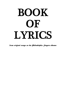# BOOK OF LYRICS

*from original songs on the Philadelphia Singers albums*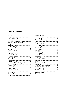#### Table of Contents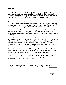#### *Preface*

From 1995 to 2010, the Philadelphia Church of God produced albums of inspirational music under the moniker of the Philadelphia Singers. All selections were performed by members of the Philadelphia Church of God, and many of these selections had either music, lyrics, or both, written by Church members.\*

For the songs where the Church owns either the music or lyrics, we are pleased to collect these lyrics into one volume. This *biblically based* poetry, produced over that 15-year-span, can be a source of inspiration and even contribute to a deeper appreciation and understanding of God's Word.

This volume includes only lyrics from songs where the Church owns the "intellectual property." If a song was recorded that another organization holds the copyright to, the reader can find those lyrics from the appropriate publisher.

Also excluded from this book are lyrics where one contiguous passage of scripture was quoted in the song (e.g., Psalm 139, produced back in 1999, was a direct quotation from the King James Version of the Bible, and the reader can find these lyrics in this public domain Bible). However, if several biblical passages were pieced together throughout the song (e.g., "The Father's Love"), we have included those lyrics.

The reader should note that — if listening to the songs while reading the book — the refrains, or similarly repeated stanzas, have been put in bold or *italics* (rather than being printed more than once) to save space.

Finally, the lyrics have been arranged in such a way to follow a certain logical and biblical time order — the intent being to give a profound progression as the reader goes through it.

\*After 2010, the Philadelphia Church of God began producing musicals and oratorios, for which all sheet music and lyrics can be found online at www.pcog.org

copyright © 2018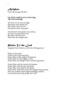#### *Antiphon*

Lyrics By George Herbert

#### Let all the world in ev'ry corner sing, "My God and King!"

The heav'ns are not too high, His praise may thither fly: The earth is not too low, His praises there may grow.

The Church with psalms must shout, No door can keep them out: But above all the heart Must bear the longest part.

# *P*raise Ye the *L*ord

Adapted From Psalm 150 By Fawn Montgomery

Praise ye the Lord, Praise God in His sanctuary, Praise Him in His mighty firmament, Praise Him for His mighty works, Praise Him according to His excellent greatness.

Praise Him with the sound of trumpets, Praise Him with the lute and harp, Praise Him with timbrel and dance, Praise Him with flutes and with stringed instruments, Play the cymbals, those high-sounding cymbals, Let all that has breath praise the Lord!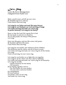#### *Let's Sing*

Lyrics By Fawn Montgomery (Adapted From Psalm 100)

Make a joyful noise, and lift up your voice. Be thankful and serve with joy. Come before Him and sing.

Let's sing for our Father and exalt His name forever; Let's sing for our Husband, our Lord and King of kings. Let's smile and sing and make our voices ring In perfect harmony: Let's sing for the family!

Know ye that the Lord, He is good, He is God; He has made us and not we ourselves. We are His people, the sheep of His pasture. Let's sing!

Enter into His gates, and into His courts with praise; Be thankful and bless His name, Come before Him and sing!

Let's sing for our mother, she embraces all her children, The fatherless and the widow, and all of those in need. Let's smile and sing and make our voices ring for all the family. Let's sing! Come on and sing, let your voices ring.

Let's sing for our brother as we fight this war together. Let's sing for all the others who have died so faithfully.

Let's smile and sing and make our voices ring for all humanity. Let's sing for eternity

—perfect harmony for the family

—all humanity.

Keep singing, together, forever

—for your father, for your mother,

—for your sister, and your brother.

Joy and gladness,

No more sadness.

Everybody, come on let's sing

And make our voices ring.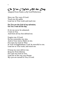# *On You I Wait All the Day*

Adapted From Psalm 25 By Geoff Robertson

Show me Thy ways, O Lord. Teach me thy paths. Lead me in Your truth and teach me:

#### For You are the God of my salvation; On You I wait all the day.

O, let me never be ashamed; I wait on You. And from all my foes defend me.

Forgive me, O Lord; Do not remember my sins, And in Your mercy think on me; For I put my trust in Thee. In Your lovingkindness, Lord, be merciful to me. Lead me in Your truth, and teach me.

O keep my soul, deliver me; Keep me from distress. For I put my trust in You; Lead me in the way you choose; My eyes are turned to You, O Lord.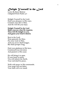#### *Delight Yourself in the Lord*

Lyrics By Ryan Malone (Adapted From Psalm 37)

Delight Yourself in the Lord, Find your pleasure in His ways; Commit your life to Him, And He will fill your days.

Delight Yourself in the Lord Make your joy what He requires; Then will He delight in you, And grant your heart's desires.

Rest in the Lord, Wait patiently for Him; Put your trust in Him, And you never shall hunger, But shall prosper long.

Find your gladness in His laws; Commend your devotion And passion to His cause

He will bring it to pass, If your heart is meek; You will inherit the Earth, Your end shall be peace,

Walk with peace in His commands; Your steps will not falter, Your faith will ever stand.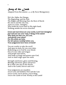#### *Song of the Lamb*

Adapted From Revelation 1, 5, 15 By Fawn Montgomery

He's the Alpha, the Omega, The Beginning, and the End, The Bright and Morning Star, the Root of David. He who is and He who was, And is to come, Almighty, Who holds the seven stars in His right hand, Walking amidst the seven churches.

Great and marvelous are your works, Lord God Almighty! Just and true are your ways, O King of the saints! Who shall not fear you, oh Lord, And glorify your name? For you alone are holy, For all nations worship before you. Your judgments have been revealed!

You are worthy to take the scroll And open its seals, for you were slain, Redeeming us to God by your blood; Out of every tribe and tongue And people and nation, And made us kings and priests unto God, And we shall reign upon the earth.

Strength and honor, glory and blessing, Blessing and honor, glory and power Be to Him who sits on the throne, And to the Lamb, forever and ever!

Your judgments are manifest; You're true and faithful, First and the Last. You're Lord; you're Savior; you're King. You're the Lamb of God: Worthy is the Lamb!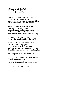#### *Deep and Wide*

Lyrics By Joel Hilliker

Look around you, open your eyes; There is a great world to see. Gorges and mountains, oceans and skies, Filled with life that is noble and free.

Soft and gentle, stately and grand; Polished and graced with bouquet. Moonglow and ice flo w, dew on the land; Fashioned and formed in the richest array, By our Creator who hears when we pray:

The world is so deep and wide. Deep is the wonder, wide is the world.

Fragile as flowers, stout as the oak, Vast as the heavenly span. Bright as a fire, dark as the smoke; Strong as the love of a woman and man, Bound by their Maker to show us His plan.

His thoughts are so deep and wide.

One wonderful mind devised this design From heaven's throne. It's so deep and wide, He gives mankind this beautiful home!

This place is so deep and wide.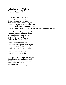*Father of Lights*

Lyrics By Paula Malone

Off in the distance at even A glimmer of glory ignites. A vast tapestry to weave in As evening falls deeper to night. Countless lights brighten before me, and all their splendor declares Your kingdom, power and glory and the hope awaiting me there:

This is Your Realm, dazzling white! To order, sustain and command; Knowing each one by name, Expanding Your fame: Praise to the Father of Lights!

Heaven's bright adorning Unveils His Kingdom each night. Cling to it when the morning Has vanished it from our sight.

Through Your stellar plan, I too will light this span!

This is Our Realm, dazzling white! To order, sustain and command; We'll know each one by name, Expanding His fame: Heirs of the Father of Lights!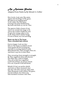#### *An Autumn Psalm*

Adapted From Psalm 84 By Edward A. Collier

How lovely, Lord, unto Thy saints Appear the dwellings of Thy grace; My spirit in its longing faints To be within Thy holy place. O living God, from bended knee, My heart and flesh cry out for Thee.

The sparrow finds a house of rest, And to its warmth she longs to fly. And as the swallow builds her nest To give her young a place to lie, So do Thine altars comfort bring, O Lord of Hosts, my God and King.

#### Better one day in Thy house Than a thousand days without.

Forever happy, Lord, are they Who in Thy house as children dwell: Their praises fill the livelong day, And still in evening shadows swell; Most blessed they, their strength Thou art, And Zion's ways are in their heart.

They onward go from strength to strength, By Thee supported, blest and cheered; Nor falter they, until at length, They all in Zion have appeared, Lord God of Hosts, my prayer attend. Give ear, O Jacob's God and friend.

Behold, O God, our perfect shield, And look on Thine anointed's face. One day with Thee more joy doth yield Than thousands could without Thy grace, O Lord of Hosts, how blest is he Who dwelleth evermore with Thee.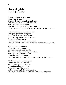# *Song of Faith*

Lyrics By Joel Hilliker

Young Abel gave to God above When Cain in fury slew him. And Enoch feared three hundred years. God loved the man and withdrew him. Praise, praise these men of God Who lost their lives to bring Him laud. These, these await the time to take their place in the kingdom.

One righteous man in a wicked land Of raging greed and slaughter. God interceded and Noah heeded And lived through the ruining water. Faith, faith alone can save Through effort pure and action brave. These, these will lead a man to take his place in the kingdom.

Abraham, a faithful man Of sacrifice and oblation, Gave up his son to obey the One Who would make him a mighty nation. Praise, praise this man of deeds, The father of all noble seed. Hail, hail, such faith can't fail to take a place in the kingdom.

What weary strife, this petty life. The flesh is frail and hollow. But lift your eyes and visualize The mighty saints we follow! Faith, faith, our King awaits To lead us through the temple gates. Joy, joy, it's nearly time to take our place in the kingdom!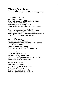#### *There Is a Stone*

Lyrics By Mike Leasure and Fawn Montgomery

On a pillow of stones, Jacob had a dream And the Lord revealed blessings to come He told him his children, Would be great in many lands When he awoke, the stones had become one

There is a stone that traveled with Moses Forty years through the wilderness; As long as this stone remained in their presence, The children of Israel were blessed.

Jacob's pillar stone, Lia fail, the stone of Scone, The mighty rock, that great Stone of Destiny; In this corner stone Lies a never-ending throne, Abiding in the royal line for centuries

There is a stone, Down through the ages, By the sanctuary it did dwell With Jeremiah, it went to the northwest isles At the time that Jerusalem fell

And there is a stone, Forsaken by the land, Even scorned, rejected by some; The stone will return, And put an end to every evil, And bring a better world to come.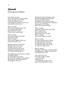#### *Hannah* Lyrics By Joel Hilliker

Lord, what can I say? No words would e'er repay this gift: These stirrings in my womb. A miracle is borne in me; You brought fruit from a barren tree And made a desert bloom.

What a wonder, That from a husband and a wife, Love should make a life. How excellent, a child! Noble honor, precious gift!

What a wonder, To see first breaths, first steps, Of a priest, a king. What a wonder, From such a helpless, little one, God would make a son.

My heart rejoices in the Lord! My lips exult over my foes, And give my joy a voice. For none is holy as the Lord; Nothing is beyond His power, Nor lives beyond His grace!

The mighty man should cease to boast, To speak of deeds, for God marks every word. He breaks the weapons of the strong; He ruins rich; He crushes proud; He brings the lofty low.

The Eternal kills and brings to life! He lifts the beggar from the dust And sets him on a throne. The pillars of the Earth are God's; He sets the world upon their shoulders; Gives power to His king, Makes His anointed strong!

What a wonder, That God would realize such a plan With modest man. How excellent is life! Noble honor, precious gift! What a wonder. The miracle begins so small.

What a wonder, To wake a promise from a sleep, To hold a future in my arms. The grandest duty ever known: To teach first steps, first words, To a priest, a king, a God.

What a wonder, Though I would leave so much undone, Through such a helpless, humble one, God should raise a son.

Lord, what can I say? No words could e'er repay this soul I hold. What can I do but dedicate this life to You? Here, Lord: This child is Yours.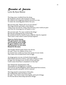#### *Revealer of Secrets*

Lyrics By Ryan Malone

The king arose, troubled from his sleep; He dreamed a dream with mysteries so deep. He called on his magicians and his sorcerers so wise To make the meaning plain before his eyes.

His servants said, "Please tell us of your dream." The king refused and made a stern decree: "Only if you can tell my vision, then I'll know your words are pure And that the meaning you will speak is sure."

His servants said, "No man could do this thing." But this provoked great fury in the king: He sentenced them to death if none could do what he required. Then came a man whose words God had inspired.

There is a God in heaven, Who gives power unto kings, And reveals the secret things; He gives wisdom to the wise, And has power o'er the times: Blessed be His name.

The Prophet Daniel spoke before the throne, He said, "I have no wisdom of my own; No mortal man could ever know the secrets of your mind, This vision was revealed from God on high.

An image great you saw, its head of purest gold; With breast and arms of silver, and waist of brass so bold. Its legs were strong as iron, its feet of iron and clay; Until a stone from heav'n smashed it in that day!"

Now Daniel the interpretation told: The prophecies of kingdoms to unfold, Till God sets up His Kingdom which shall stand forevermore, His government and peace will be restored!

The king stood in amazement of the plan, He realized this came not from a man: He said, "Your God is truly God of gods, and Lord of kings, For He has shown these deep and secret things."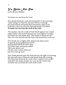# *Ya Better Not Run*

Lyrics By Joel Hilliker

Ya' better not run from the Lord.

Now Jonah heard the word of God speakin' in the morning: "Arise and go to Nineveh, and issue them a warning." Ol' Jonah feared and Jonah fled and joined a ship to sea. God sent a storm to toss that ship and smash it to debris. Ya better not run from the work of the Lord.

"Now Jonah, why the wrath of God stirred against our vessel? I don't believe the Lord of hosts is one you ought to wrestle!" Ol' Jonah saw and Jonah said, "This storm is meant for me!" The crew rose up and took the man, and tossed him in the sea.

Now Jonah saw a mighty fish rising in the deep waves. It opened up and gulped him down And pondered him for three days. Ol' Jonah cried, and Jonah called: "Oh Lord, deliver me! I'll take your word to Nineveh, Just let a man go free!"

Now Jonah pitched upon the land and saw the light of morning; He rose and went to Nineveh and issued them the warning. The Ninevites believed the word; They wouldn't have to die! And that's the lesson, Jonah, now you see the reason why Ya better not run from the work of the Lord!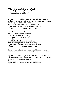## *The Knowledge of God*

Lyrics By Fawn Montgomery (Adapted From Proverbs 2)

My son, if you will hear, and treasure all these words, Incline your ear to wisdom and apply your heart to learn, If you cry out for discernment, And lift up your voice for understanding, If you seek it as silver, search as for treasure, Then you'll find the knowledge of God.

Now if you honor God With the increase that you grow, Your barn will fill with plenty And your wine will overflow, if you Trust in the Lord with all your heart And lean not your own understanding, If you seek it as silver, search as for treasure, Then you'll find the knowledge of God.

Always remember from where your blessings come Continue running the race toward the glorious kingdom!

My son, now don't forget, these instructions of the law For length of days and long life and peace you will recall If you cry out for discernment,

And lift up your voice for understanding,

If you look to God, then He will look to you.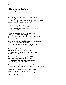#### *She Is Wisdom*

Lyrics By Rachel Leasure

Just as a young man searches for the right girl, And lovingly makes her his wife; So does the new man when he comes out of this world, And he struggles to start his new life.

So he asked and received, Then he searched and he found. When he knocked, she was right there waiting. Now he's the richest man.

For in his heart the laws of God are there. Nothing he desires can compare. More precious than rubies, more profit than gold; Don't let her go: she is wisdom.

God reigns with love, and He reigns with wisdom, So turn your heart to understand; For wisdom begins when you come out of this world, And she'll save you from the wicked man.

When you ask, you'll receive, And when you search, you will find, When you knock, she'll be right there waiting. You'll be the richest man.

Pleasant are her ways, her paths will lead to peace, And he who keeps her, blessed is he. She is a tree of life to those who take hold; Don't let her go: she is wisdom.

Wisdom is too lofty for a fool; without her is sorrow. Love her and she'll lead you into the World Tomorrow!

For in your heart the laws of God are there. Nothing you desire can compare. More precious than rubies, more profit than gold; Don't let her go!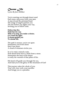# *Choose Life*

Lyrics By Joel Hilliker

You're starting out through desert sand Each step a step away from your past, A step toward the promised land. The songs of angels quicken you. The fire before you lights your way, Inviting you to follow close.

Follow that fire. Hold fast the way. With ev'ry step, you make a choice; Go t'ward the light: It always guides you To choose life.

The path is narrow; you're set apart. Sometimes you'll feel alone Don't lose heart: A cloud of witnesses circles you.

In ev'ry trial a miracle waits. Seek bread from heav'n, drink from a stone. Sometimes the heat of the desert is really the warmth of that pillar of fire.

His hand will guide you through the sea, And lead you to the glory of the mountain of God!

This journey takes the whole of you: Your will, your work, your sacrifice And brings you to a paradise.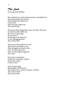# *The Seed*

Lyrics By Joel Hilliker

He watched me, tried and proved me, sanctified me, Protected and preserved me. Then finally He called me. I answered. Then He put within me The seed of life.

The power that shaped the stars, the skies, the seas, It started small within me. But now it's growing In my heart. Reaching to the heavens, A tree, springing from The seed of life.

The power that healed the sick, That made the blind to see, That brought the dead to life— Now it's moving in me. Now it's flowing through me, The seed.

Every day I nourish it, It sprouts, it spreads, it gives. Every day I feed, I learn, I live!

Now it's growing, Reaching to the heavens: The seed of love, of joy, of peace, of faith, The seed of God— The seed of life.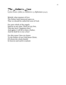## *The Father's Love*

Lyrics From 1 John 3:1; Hebrews 1:5; Ephesians 3:14-15

Behold, what manner of love The Father hath bestowed upon us, That we should be called the sons of God:

For unto which of the angels Said he at any time, Thou art my Son, This day have I begotten thee? And again, I will be to him a Father, And he shall be to me a Son?

For this cause I bow my knees To the Father of our Lord Jesus Christ, Of whom the whole family In heaven and earth is named.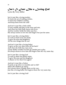*Isn't It Just Like a Loving God*

Lyrics By Terry Miller

Isn't it just like a loving mother To learn the art of making clothes, To dress her children warmly, And keep them from the cold?

And isn't it just like a little child, To stay outside and play in the snow and rain, And when her little body burns with fever, And her mother holds her baby near her, She always seems to love her and forgive her just the same.

Isn't it just like a loving father To work as hard as he can stand, To give his sons and daughters All the nice things that he can?

And isn't it just like a loving father To give us the very shirt from off his back? And when the little boy runs away, 'Cause daddy wouldn't let him go outside just to play He always seems to love him and forgive him the very same day.

Isn't it just like a loving God To want to share his family name, To give His sons and his daughters A chance to live their lives again?

And isn't it just like a Father To pick us up when we stumble and we fall? When His children go astray, He's always there to guide them on the way; Just like a loving father He forgives them the very same day.

Isn't it just like a loving God?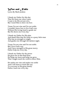## *Wise and Noble*

Lyrics By Mark Jenkins

I thank my Father for this day That He hears me when I pray. I want to be His servant now, But I need Him to show me how.

'Cause I'm not wise and I'm not noble. I wouldn't know how to live God's way. Without His loving hand to guide me. But He shows me every day.

I thank my Father for His plan And thank Him that He looks to a puny little man Who has no strength or might And guides me through the darkest night.

'Cause I'm not wise and I'm not noble. But I love God's way. And I have strength in His great mercy. Father help me every day.

I thank my Father for the power He gives me in this final hour. He helps me learn and helps me grow, That I might teach the world to know Him.

He makes me wise and makes me noble And I will learn to teach His way To everyone in His great family. Father, teach me every day.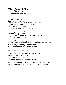#### *The Love of God*

Lyrics By Mark Jenkins (Adapted From Romans 8:38-39)

Do you know what love is? Does it light your way? Does it show you the path that God has laid? Do you see the hand of our Father working in your life through trouble and through strife?

Do you go to your Father when you've gone astray? Do you know that the God of heaven and Earth can be with you every day?

#### Neither life nor death, angels nor powers Shall separate us from the love of God in Christ our Lord. Neither height, nor depth, nor any creature; No, none shall separate us from the love of God.

Do you know what love is? Does it light your way? Do you keep the commands of God each day? For this is the love of our Father working in your life through trouble and through strife.

Who shall separate us from the love of Christ our Lord? Shall tribulation or distress, the famine or the sword?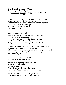# *Each and Every Day*

Lyrics By Leanne Brandon and Fawn Montgomery (Adapted From Philippians 4:8-13)

Whatever things are noble, whatever things are true, Anything that's lovely, just and pure, Of good report and virtue, and worthy of great praise, Think about these royal things, And realize the joy they bring, Each and every day.

I know how to be abased, And I know how to abound. From these things, I have learned contentment In whatever state I'm found. Anxious for nothing, rejoicing in everything. For the peace of our God will guard our minds And guard our hearts through Christ our Lord.

I have learned through trial, that whatever state I'm in, To always be content and greatly rejoice, Through prayer and thanksgiving, persevering to the end, I can do anything through Christ who strengthens me, Each and every day.

The truth that God has given us, In what we've seen and heard, Examples of His servants And their strength by which we learn. As we please our Father, He will grant this request: That His peace will always be with us No matter what the test, each and every day.

Yes, we can do anything through Christ Who gives us strength, each and every day.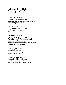*Friend in Fight*

Lyrics By Jennifer Palmer

You're called to the fight, You face the toughest foe. Though you strive with your might, You can't prevail alone.

But friends fall away, And your courage must abide. In the heat of the fray Who will stand at your side?

Call out for His aid, His strength will not fade, Together you'll fight to the end. Take hold of his hand, And you'll understand what it means To have a True Friend.

Your war rages on, Temptation closes in. Your defenses are gone, Your power grows dim.

You must contend; Faithfully follow His lead. On His Spirit depend; With His help you will succeed.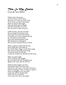# *This Is My Desire*

Lyrics By Amy Hallett

Father, hear my prayer. I need to know you're there. My arms are weak, my spirit tired. To be near you, this is my desire. Hear my prayer this night. Ease my cares and my fright. Lift this cloud that's over me. Dry my tears so that I may see.

Child of mine, why do you fear? Do you forget I'm always near? I'd not give you stones for bread, I'll always see you're clothed and fed. See the flowers of the field: I gave the land abundant yield. Even Solomon would agree He was never arrayed as one of these.

When a sparrow falls from the sky, Don't think that I pass idly by: For I built their wings, I wrote their song; My eyes see when they pass along. Yet all the birds till this day Could not console me should you fall away.

Make my spirit right. Your words are my delight. By your Spirit lift and strengthen me. Speak your truth, and set me free !

Child of mine forget your fear. Remember that I'm always near. Tomorrow will come, your pain will leave; There's nothing to fear, no reason to grieve. Seek my kingdom, love my plan; Learn my will for mortal man, And I will see you shine! To be near you, this is my desire.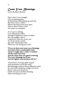# *Count Your Blessings*

Lyrics By Ryan Malone

Once when I was younger Life was getting gray. Problems just kept piling up each day. But then I met a widow, Whose life had much more pain; That is when I knew I had No reason to complain.

As we got to talking, I was surprised to find, Though weighed by many troubles, She was happier than I. I asked her what her secret was To always keep a smile; She said, "Remember this When you are facing any trial":

"If you sit down and count your blessings, You better find a comfortable chair; 'Cause it might take a while to number All the ways God cares. And the more time you spend counting, The more blessings you'll see, And the lighter your burdens will be."

"Sometimes you'll get gifts of gold And sometimes you'll get trials But blessings come in many different styles. So when life's problems weigh you down Here's what you should do Chalk 'em up as another blessing That God has given you."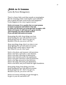#### *Stick-to-it-iveness*

Lyrics By Fawn Montgomery

There's a funny little word that sounds so meaningless, But the meaning of this word implies such nobleness. Just to speak this little word invites such happiness. It also happens to be a key to great success.

Stick-to-it-iveness: It is a quality that we must possess. It means to persevere and endure to the end, So when you fall down you must get back up again, with Stick-to-it-iveness: It will lead you to great success. And eventually you will no doubt succeed If you will stick with stick-to-it-iveness.

Keep going the mile, keep doing your best. Keep running the race with stick-to-it-iveness. Keep giving your all—don't ever give in, Because if you do, you never will win!

Keep marching along, there's no time to rest. Keep fighting the war with stick-to-it-iveness. Keep giving a smile when it hurts a bit, But whatever you do: Don't quit!

Stick to the plum, and measure with precision. Stick to the facts, and make a wise decision. Stick to the plan, allowing no distractions. Stick to the end and receive the satisfaction. Stick to the goal, and strive with all perfection. Stick to the sign, proceed in that direction. Stick to the map, and reach your destination; Stick to the Rock, and you'll build the right foundation.

Keep going along, keep doing your best. Keep running the race with stick-to-it-iveness. Keep giving your all—don't ever give in, Because if you do, you never will win!

Stick-to-it-iveness will help you get through it, So give it your all, and stick to it!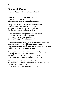#### *House of Prayer*

Lyrics By Paula Malone and Amy Hallett

When Solomon built a temple for God In a prayer a vision he told. Lifting his voice from a chamber of gold.

"Set your eyes, Oh Lord, ever t'ward this house, Bend Your ear from heav'n and forgive. Knowing how our hearts lead only to death, Yet through prayer we learn to live."

"Lord, when those afar pray toward this house Grant their request, to Your praise. They will learn of You, standing in awe, Reaping blessings from Your ways."

"Let your hands be strong, o ye that hear these words," From its foundation the prophets did declare, "Let your hands be strong, that the temple might be built, As lively stones into a house of prayer."

Serving on our knees, we are that house of prayer, Offering incense sweet and refined. By the Spirit joined, a dwelling for our God, Better than the former, its latter glory shines.

When God exalts this house in that day, All men shall plead with our garments in their hands: "We hear you know the way! Let us follow you, teach us how to pray!"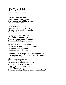# *By My Spirit*

Lyrics By Stephen Flurry

He'd walk on stage slowly To the sound of much applause, And the spirit moved him at a pace That barely even paused.

He spoke the truth so boldly, Causing some to even squirm; His hoary head and dim eyesight Seemed only to confirm:

"By my spirit," says the Lord. "Then your mission will be simple. These lost truths you will restore, And finish building my temple."

His last ten years, he often said, He learned so much more than before; He kept the truth so simple, Just by sticking to the core.

The Bible talks so frequently of starting out so small; That helps us keep in mind who really is behind it all:

"Not by might nor power, But by my Holy Spirit, His hands have laid the groundwork, And his hands shall also finish it. Behold, I send my messenger, And he'll prepare the way Before the coming of that great and dreadful day!"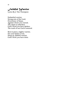## *Faithful Warrior*

Lyrics By J. Tim Thompson

Embattled warrior, Strong arm of the Lord, Overcomer of Satan, Against whom you warred; The chain is unbroken, God's Word you have spoken; The truth of our God is restored.

Rest in peace, mighty warrior, For your battle is won. Sleep on, faithful warrior, God's Work you have done.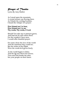## *Prayer of Thanks*

Lyrics By Amy Hallett

As I stood upon the mountain, A crystal stream was flowing there. As I drank the cooling fountain, I heard the whisper of a prayer:

#### How blessed am I to hear, How blessed am I to see Thy words, Thy works, O Lord.

Should You take me to pastures green, And lead me by still waters there. For the wonders I have seen, I would offer thankful prayer:

For some chose the love of the world And the mansions they could see; But the riches of the Elijah Were the words he'd given freely.

As the world begins to falter, And the fig tree shows her leaves; Turn and look beside the altar, See your people on their knees.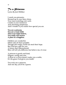# *To a Princess*

Lyrics By Joel Hilliker

I watch you pirouette, Dressed up in your fancy dress, Your tiara touseling your curls. I smile at your innocence And charming simpleness, And I wonder if you realize how special you are.

You are a princess, You are a royal child. This is not make-believe, You really will receive A place in a kingdom.

Children are wonderful, Filled with all that's possible. Though this empty world can steal their hope. But God has a gift for you, A future that's phenomenal. Men will tell you different, but believe me, it's true:

A princess is gentle and kind, Elegant, caring and wise. A dress or a crown doesn't make you a noble, It's the grace God gives you inside!

You truly are a princess, And one day you'll be a queen.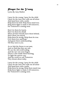#### *Prayer for the Young*

Lyrics By Amy Hallett

I pray for the young. I pray for the child. I pray for the ones who walk out all alone And stand here with a smile. Help them be bold. Help them stand true. Help them fight to make it till tomorrow, For Tomorrow's coming soon.

Don't let them be lonely. Don't let them be afraid. When all their friends leave them behind, Show them you stayed. Help them be strong. Help them be true. Give them love and hope And grant them understanding Till they turn to you.

As we link the future to our past, And we find that they are one, We see the old world ending And the new one soon begun. There's a fire inside them burning, To light the narrow way. And the world we call Tomorrow They dream about today.

I pray for the young. I pray for the child. I pray for the ones who walk out all alone And stand here with a smile. Help them be strong. Help them stand true. Help them fight to make it till tomorrow, For Tomorrow's coming soon.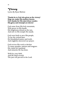#### *Victory*

Lyrics By Ryan Malone

Thanks be to God who gives us the victory! Sing out, make His mystery known. Give thanks for His marvelous wonder; His glory and triumph are shown!

God came from His holy mountain, With power in His hands; His brightness shined as the sun, And now in His temple He stands.

God went forth to save His people, To lay the wicked bare. He brandished justice and truth, And mightily answered our prayer.

God revives His work to declare To many peoples, nations and tongues: His vision for mankind And miracles He has done.

Walk by your faith, And He shall reward; The just will prevail in the Lord.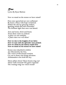#### *Rise* Lyrics By Ryan Malone

Now we stand on the stones we have raised!

Fires once quenched are now enflamed By hears a blaze with hope reclaimed. Within the ash lay glowing embers, Igniting minds that still remember The brilliant light that once was famed.

Iron and stone, brick and beam; From these ruins we redeem A glory we can redefine, A place that ever will shine!

Now we rise to the heights of our labor. Now we soar with the splendor once praised. Now we climb by the history made here. Now we stand on the stones we have raised!

Stones once shackled in debris Are liberated by the free, The voices of this bound creation Cry out to those who bring salvation: Ambassadors who hold the key.

These pillars shout! These beams ring out! These walls resound! The gates expound The rousing song our voices sound!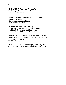# *I Will Use the Music*

Lyrics By Ryan Malone

What is this wonder to stand before the crowd? What is this moment I'm allowed? With this blessing, can I learn To offer more in return?

I will use the music, use the song! I will voice the answers, sing them strong! I will break the silence, and find a way To show the world the sounds of a better day.

Can the dreams of tomorrow write the lyrics of today? Can the strains of a chorus wipe refrains of tears away? If we listen, can we see What the future will be?

I will build the bridge that brings joy to every face, And use the chords in love to bind the human race.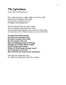## *The Watchman*

Lyrics By Geoff Robertson

On a crisp and starry night, high on the city walls, Stands the watchman at his post, To warn the world he lives in, If danger should approach.

In the darkness that pervades within, The townsfolk make their best of sin, As the watchman's fateful eyes scan the countryside. At a distance, silver flash reveals an army on the ride.

So make that fateful sound, and blow your trumpet loud, for there's trouble on the ride! But the people of the city Keep on laughing, keep on dancing, Though the trumpet fills the night Of the danger just outside; While the world keeps turning 'round For the people in the town; Who will hear the sound of the watchman?

Through the night they run, To make their surprise before the sunrise.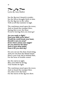# *The Fig Tree*

Lyrics By Amy Hallett

See the fig tree's branch is tender; See the leaves brought forth in time. For the fig tree in the valley Tells us all that summer is nigh.

The watchman stood upon the tower, And we heard the trumpet blow; Saying this is now the hour: If you're leaving then you must go!

Are you ready to fight? Does your faith never falter? Would the world break your heart, Should it cast you away? From where comes your might? Do you stand by the altar? Does it burn deep inside? Does it fill you each day?

For you can see the dust cloud rising, And you can hear the distant drum. Here's your God, fall in behind Him, For the hour of trouble comes!

See the end is in sight; May your faith be strong, Your burden be light.

The watchman stood upon the tower, And we heard the trumpet blow. Yes, this is now the hour: For the leaves of the fig tree show.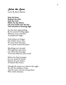## *Seize the Hour*

Lyrics By Ryan Malone

Seize the hour, Redeem the time, Seek the Lord, While the day shines; Lift your heads unto the sky: Your salvation is drawing nigh.

See the time approaching, By the season's telling signs; Measure every moment, As prophecies align;

Time delays no longer, Our Father says to rise; We must bear this duty, As we press toward the prize;

Marching ever onward, Through this open door, Cry aloud this message: "You soon shall see your Lord!"

Before the final trumpet, Let our sound be heard; Hasten all your labors, To hasten His return.

Though He comes as a thief in the night We are the children of day; And the snare will not entrap those Who watch and pray.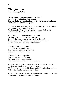#### *The Fortress* Lyrics By Amy Hallett

Have you heard there's a temple in the desert? It stands firm behind the fortress wall; And they build its walls in silence so the world has never known The family of God as it has grown.

On the span of mighty eagles' wings God brought us to this land To shield us in the safety of His hand. For thousands fall around us, yet here no fear shall come; In these rocks His saints unharmed shall stand.

And they cry out from their tortured lands, For their hopes and dreams are burned; So now's the time we share what we have learned. A message from the fortress to keep their hopes alive: "Be not afraid, for soon your God returns."

They say this land is beautiful, And they say this land is fine; And the same God who gives water Once turned water into wine.

They say this land's a garden; Who can tell us how it grows? It's a land of hope and miracles; It's a place, they say, where evil never goes.

As a garden springs from desert sand a nation starts to thrive; Our purpose stands to keep this hope alive. Till the world blooms as this desert and all kneel to God on high; Praise Him for His Work has never died!

And soon we'll break the silence, and the world will come to know The family of God from the hills of stone.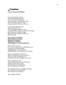#### *Freedom* Lyrics By Joel Hilliker

Our ancient fathers slaved, To realize Pharaoh's dreams; It drove them to their graves: They raised his cities, built his ships, Bore his burdens, felt his whip; And generations cried out to be free.

You'd made a promise clear: A land for Jacob's sons; Their weeping reached your ear. You spared their children, soothed their stings, Bore them out on eagles' wings; Buried all their foes beneath the sea. And they sang:

You've given us freedom! Freed us from our chains, Broken all our bands, And given us freedom! And brought us to our promised land.

Their story is our own, For we were captives too, in tribulation sown. Scattered in a hundred lands, Crippling under cruel demands; And humbled, we remembered your decree:

Lord, you promised to defend us; Those who bound us, you'd avenge us. Then you said you'd bring us in, and plant us in the mountain of the Lord.

Then suddenly that day, The trumpets blew, our shackles broke, Swiftly we cast off the yoke, Empires fell in fire and smoke; Now we celebrate our jubilee!

The mighty God is my strength and song! He is my God! I will exalt him! He is become my salvation.

You brought us home!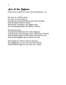#### *Son of the Highest*

Lyrics From Isaiah 9:6; Luke 1:32-33; Revelation 11:15

For unto us a child is born, For unto us a son is given. And the government shall be upon His shoulder And His name shall be called: Wonderful, Counselor, the mighty God, The everlasting Father, the Prince of Peace.

He shall be great, And shall be called the Son of the Highest: And God the Lord shall give Him the throne of David: And He shall reign over the house of Jacob for ever; And of His kingdom there shall be no end.

The kingdoms of this world are become The kingdoms of our Lord, and of his Christ; And He shall reign for ever and ever. Amen.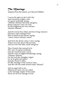## *The Marriage*

Adapted From Revelation 19:1-8 By Joel Hilliker

I was in the spirit on the Lord's day. And I heard the mighty voice of a great multitude, saying, "Alleluia! Alleluia! Salvation and glory, Honor and pow'r unto our God, for His judgments are true and just. Alleluia! Alleluia!"

And the twenty-four elders and four living creatures Fell down and worshiped God Who is seated on the throne, saying "Amen! Amen! Alleluia! Amen!"

And from the throne came a voice, saying, "Praise our God, all you His servants, And you who fear Him, small and great."

Then I heard what seemed to be The voice of a great multitude, Like the sound of many waters, And the voice of mighty thunderings, saying, "Alleluia! Alleluia! For the Lord the Almighty reigns! Let us be glad and rejoice! And give honor to Him: For the marriage of the Lamb is come, And His wife has made herself ready! Alleluia!"

And an angel said to me, "Blessed are those who are called to the marriage supper of the Lamb. These are the true sayings of God."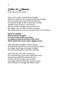## *Cedar of Lebanon*

Lyrics By Dwayne Custer

Like a lone cedar, I stand day and night, Without a friend in the world, except God of Light. I'm scorned by the wind and hit by the hail, Tortured to death by the ax that does not fail. Amidst a fiery furnace, I am thrown, My rare wood no longer serves on its own. No longer can I be home for the creatures, My stump and my roots are all that's left of my features.

Isaiah the prophet Was moved by the spirit To tell of a day unlike any before. It's spoken by him as the day of the Lord, When Christ will return with a mighty sword.

Upon that great dragon a chain will go, To bind him and cast him into that pit far below. No longer deceiving, no longer to blind, The sons of His glory truth they will find.

Upon that day the cedar will rejoice, For someone has come that's heard His voice. Likewise myself I'll be heard that day. At last with my brother, forever stay. No longer will he suffer the cruelty of man. God will deliver through His Master Plan.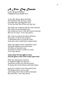# *A New Day Dawns*

Lyrics By Joel Hilliker (Adapted From Isaiah 60:1)

A new day dawns upon the land; The darkness lifts its heavy hand. A people stirs, op'ning their eyes To see the first Sun of the new day rise.

The fields are withered and the cities burned; The ruins of ten thousand wars. Our minds are heavy with the lessons learned; But now it's time: A new day dawns.

The waste is cleared, the desert blooms; The peace of old at last resumes. A thousand years to work the earth And rear a new world from a better birth.

Dark soil replaces stone and fallow sand, And gold replaces iron and bronze. All tears are turned to joy, And faith of saints is turned to truth: A new day dawns.

#### Arise, shine! For thy light is come, And the glory of the Lord is risen upon thee!

What lay obscured in mystery Is washed in light for all to see. And hosts of men now fill the streets To praise the Lord of hosts with holy feasts.

Israel lives safely in her Promised Land; The King is just to every man. And living waters flow at His command; Day after day, a new day dawns.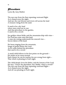## *Plowshare*

Lyrics By Amy Hallett

The sun rose from the East repenting westward flight As it chased away the night. And saw the rose bloom, and rivers roll across the land A treasure rising from the sand.

It used to be a dry land where men cried out in war, And that plowshare in the garden, it used to be a sword.

See golden wheat fields, and the mountains drip with wine— For God has come unto this land. A man sits resting underneath his concord vine— Savors labors of his hand.

He hears singing from the mountain, Songs of praise before the Lord, As he walks behind the plowshare that used to be a sword.

A small child follows in his foot prints on the ground— He smiles as he turns around Each chance he can he teaches his son wrong from right— That which is pleasing in God's sight.

The child deeply loves his father, and the lessons of the Lord. He says, "I know the plowshare, but, Daddy, what's a sword?" The sun rose from the East repenting westward flight— As it chased away the night. And all was pleasing in God's sight.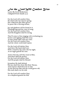## *For the Lord Will Comfort Zion*

Lyrics By Geoff Robertson (Adapted From Isaiah 51:3)

For the Lord will comfort Zion, He shall make her deserts spring; Her wilderness like Eden grows, In peace like a flowing stream,

Joy and gladness will be found in it, Thanksgiving and the voice of song; For the Lord will comfort Zion, And His Kingdom shall be strong.

They'll come to Zion singing with everlasting joy, Sorrow and sighing shall flee away As they praise Him with one voice. For the Lord will comfort Zion, And the whole world shall rejoice.

For the Lord will shelter Zion, And there His hand shall rest; With a cloud by day and a fire by night, As an eagle guards her nest.

And in that day will they trust in Him, And them shall He protect. For the Lord will shelter Zion, And His people shall be blessed.

Jerusalem He shall defend, His law shall flow from His Holy Throne, And of peace shall there be no end, As the heavens fade and the world grows old, His truth shall ever be told.

For the Lord will comfort Zion, As a shepherd guards his fold.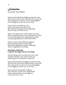## *Invitation*

Lyrics By Amy Hallett

Come and sit beside the highway near the water. This was once the narrow path that few men trod. Now it paves the way for ev'ry son and daughter. It's the highway to the city of our God.

Come sit down beside the river, Learn what peace and calm is for; We'll spend a thousand years forgetting How to waste our lives in war.

There's no need to set a watch upon our tower. There a bird has built a nest and made her home. I've been list'ning to her song almost an hour, As the people pass by on the streets below.

Fill the streets with children's laughter, For they played and we could sing; When they piped they found us dancing, And we sang before the King:

#### Hallelujah, hallelujah, Long live the King, God save the King.

And the King came out upon the tower wall, And He listened to the music of the city. And He gave an invitation to them all:

Come and sit beside the highway near the water. This was once the narrow path that few men trod. Now it paves the way for ev'ry son and daughter. It's the highway to the city of our God.

Come and join the people walking The road once narrow now made broad. Come and join them on the highway To the city of our God.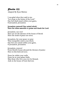## *Psalm 122*

Adapted By Ryan Malone

I was glad when they said to me: "Let us go to the house of the Lord." Our feet shall stand within your gates, O Jerusalem, Jerusalem.

#### Jerusalem restored! One united whole! Here the tribes assemble to praise and thank the Lord.

Jerusalem, our own! Here are set the thrones of the house of David: Here the seeds of peace are sown.

Jerusalem, for your peace we pray That tranquility enters your doors. Our feet now stand within your gates, O Jerusalem, Jerusalem.

Jerusalem, renown! From David's house abound the thrones of justice Here in this beloved town.

Peace be within your walls. Peace be in your palace halls. May those who love you ever be blessed, And, in the house of God, find rest.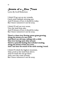# *Streets of a New Town*

Lyrics By Geoff Robertson

I think I'll go out on my veranda, Catch some Sabbath morning sun; And I'll dream of how it should be today, But I know tomorrow's not far away.

I think I'll sail out over ocean, View the land from afar; And I'll dream of how it should be today, But I know tomorrow's not far away.

There's a clean river flowing, green grass growing, Along the streets of a new town. And there's an old man, talking with a child, They love having each other around. There's a peaceful feeling that nobody's stealing, Along the streets of that new town, And I can hear the sound of the earth turning 'round.

I think I'll climb the highest mountain, Take a look at the land from above; And I'll watch the sun go down And a new day come around, But I know tomorrow's not far away.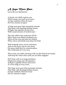# *A Hope More Pure*

Lyrics By Lee Hochstetler

A dream, my child, is given you Which many wise men never knew: A hope instilled within the heart Of every mortal set apart;

A hope more pure than mountain streams That flash with dazzling brilliant beams Of light, that sparkles as they flow, With crystal streams of melted snow.

The time shall come, and soon will be When those now blind will plainly see; When all the sick and lame are healed, When calves and lambs may share the field

With leopards, lions, wolves and bears, And no one fears, and no one stares, For peace shall then be common-place, The world safe for every race.

Then come, my child, and keep with me this festival of royalty, And keep the vision clear until you see Him reappear!

He'll feast with us in song and dance, Of glorious pomp and circumstance, And give a golden throne and crown To every king of every town;

This hope more pure than mountain streams That flash with dazzling brilliant beams Is hope instilled within the heart Of ever mortal set apart.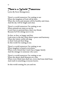# *There's a World Tomorrow*

Lyrics By Fawn Montgomery

There's a world tomorrow I'm waiting to see When the kingdom of God will be here. When the rivers and streams will be healthy and clean, And the sky will be bright and clear.

There's a world tomorrow I'm waiting to see When animals are tame as can be. I won't have to pretend that a lion's my friend, Because he'll be sitting next to me.

So free, so free, so happy and free Look away to the day when there's peace and harmony. When the whole world will sing to their God and their King In this world I'm waiting to see.

There's a world tomorrow I'm waiting to see When laughter is heard everywhere. When every friend that I meet has a happy family And the stranger is someone who cares.

There's a world tomorrow I'm waiting to see When the desert shall blossom as a rose. When every blind man shall see, every deaf man shall hear, And truth is something everyone knows.

In this world coming for you and me.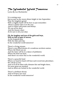# *The Wonderful World Tomorrow*

Lyrics By Lee Hochstetler

It is coming soon Just as sure as the moon shines bright in late September; That the kingdom grand With a mighty hand will be here so just remember: There's a better that is on the way, And it's filled with praise and beauty; We can all be there And the bounty share So be sure to do your duty.

#### Oh, the laughter and joys of the girls and boys, With no hint of pain or sorrow,

As the leopards play With the kids each day In the wonderful world tomorrow!

There's a living stream, There's a joy-filled dream of a wondrous newborn nation; Where the blind can see And the lame will be in a dance of jubilation: Where the deaf can hear, And there's no more fear in the wonderful world.

There's a peaceful land Where we hand in hand will beat each sword into plowshare; We will be at rest And we'll all be blest with climates fair and bright there, No more guns are stocked; And no doors are locked in the wonderful world.

There's a brilliant throne And we'll have our own! In the wonderful world tomorrow!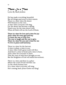#### *There Is a Time*

Lyrics By Mark Jenkins

He has made everything beautiful. But all things pass away in their season. There is a time when the desert Will blossom as the rose; A time when everyone will sing; For the desert has become a spring. Watch now for the time draws close When all flesh will see the Lord of Hosts.

There is a time for love and a time for joy And a time for every girl and boy To learn the way to truly live, The way to laugh and the way to give. There is a time for you and a time for me To live in peace and harmony.

There is a time for the harvest, A time to plant, a time to sow. A time when God's great truth will flow. And there's a time to break and a time to burn, And a time for everyone to learn That the ways of man have brought us war, But the Kingdom of God will stand forevermore.

There is a time and there is a place Where the word of God will flow out To the whole human race. It's a time when everyone will sing; He's coming back: Jesus Christ our King!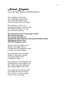#### *Animal Kingdom*

Lyrics By Mark Jenkins and Paula Malone

You could pet a lion's hair, You could hug a grizzly bear; You could ride a tiger's back, 'Cause you know he won't attack.

We could have a kitty cat: Leopards, cheetahs—cats like that; We would feed them ev'ry day, Just with straw and hay.

We won't have to fear creatures big or small; That will be God's way; We can play with them all. Animals will all be kind, they will be good friends of mine. Having pets will be so fun When the Kingdom comes.

Wolves will never make a fuss, Hyenas will laugh with us; I'll slide down an elephant's trunk I could even smell a skunk.

You could play with crocodiles, Snakes or any green reptiles. On a giant hippo's back I could take a nap.

You could swim the deep blue sea, Nothing there would frighten me; Dive where the great shark goes Kiss a shark right on the nose!

You could eat some honeycomb; Even while the bees are home. We won't have to fear a thing, 'Cause a bee won't sting.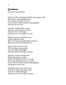## *Evermore*

Lyrics By Amy Hallett

Hail your life a shining land that rests upon a hill. By His love and guiding hand You will be the same way 'til A river flows whose streams may gladden The city of our God.

And the world will be at ease, And the world will be at peace. And the river will laugh, And the river will sing evermore.

Hail the streets of David's town Under alabaster skies. The river flows through fields of green Where the lamb and leopard lie.

And a child will never die Till a hundred years go by. And the child will laugh, And the child will sing evermore.

Hail the world in beauty fine When Jerusalem is come, Filled with light for those who rise When the thousand years are done. A river flows whose streams may gladden All people of our God.

And He'll wipe away their tears, And He'll wipe away their fears. And the world will laugh, And the world will sing evermore.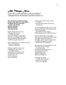## *All Things New*

Lyrics By Leanne Brandon and Joel Hilliker (Adapted From Zechariah 8 and Revelation 21)

Fear not, let your hands be strong; In just a little while our God returns. Jerusalem the holy mountain of the Lord of hosts Shall be restored, Shall be adorned And made as new.

Judah will be a house of joy, Feasting with the love of truth and peace. The seed will grow and prosper And the vine will give her fruit; The ground shall bear her grain And heavens give their dew.

God's Tabernacle now dwells with men: They are His people and He is with them.

Old men walk the city streets, Gladdened by the sound of children's play. And people of all cities come To praise the Lord of Hosts— To learn the way To live and pray, Devout and true.

The fountain of the waters of life He'll give, To anyone who thirsts for the way to truly live.

Twelve foundations stay the city wall, Ornamented, rich with precious stone. Twelve pearl gates guarded by twelve angels, Protecting those the Lamb has known.

The city shines like a rare jasper, The streets are fashioned of pure gold. The light reaches all nations— The glory of the Lamb on His throne. Jerusalem! Prepared as a bride adorned for her husband!

Each promise of God has proven true, For all the former things are passed away. He ends all death and sorrow, All crying and all pain. Wiping tears away, His love displayed Makes all things new.

All things are given to them that overcome, For God is our Father and we are His sons.